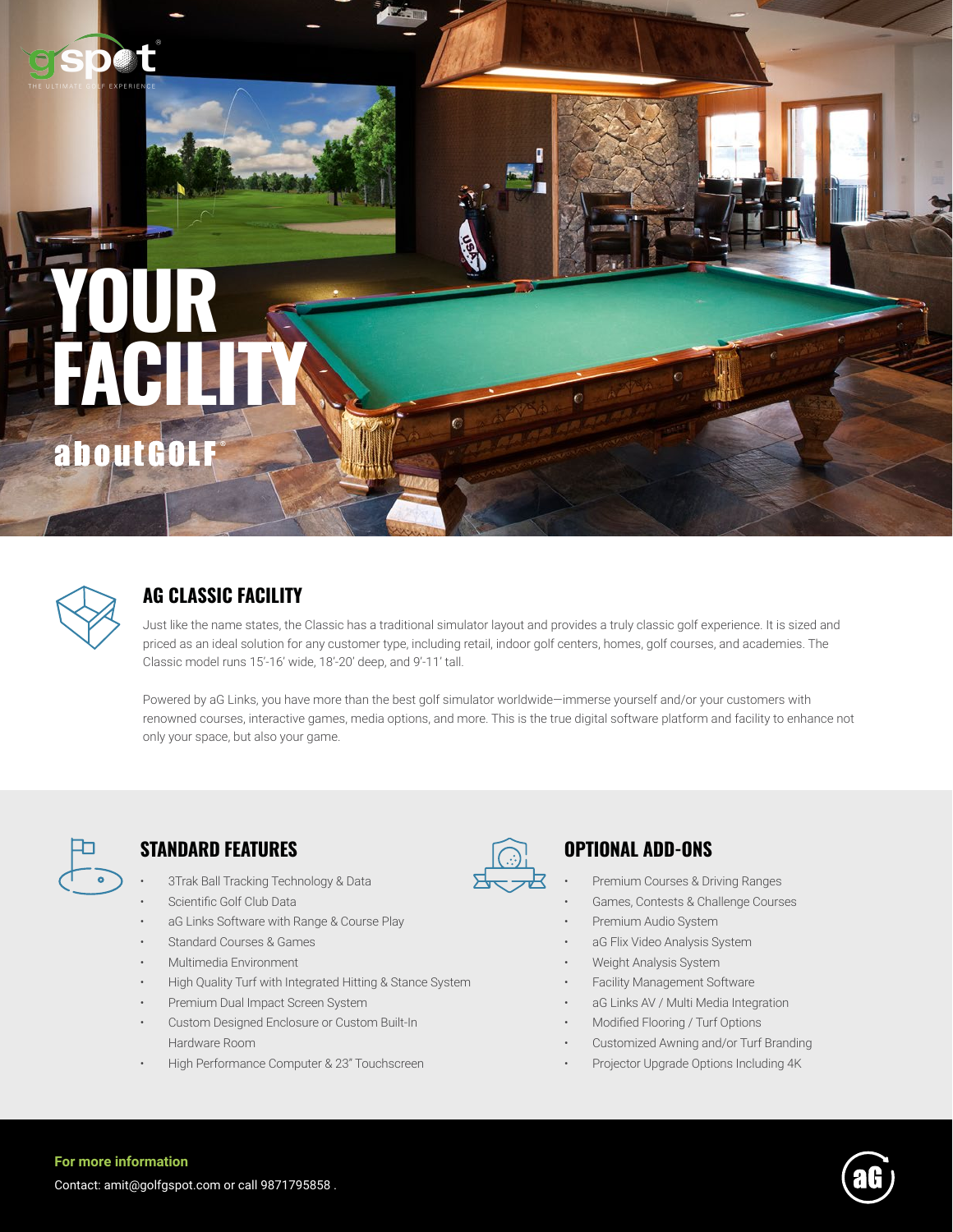# **YOUR FACILITY** aboutGOLF



# **AG CLASSIC FACILITY**

Just like the name states, the Classic has a traditional simulator layout and provides a truly classic golf experience. It is sized and priced as an ideal solution for any customer type, including retail, indoor golf centers, homes, golf courses, and academies. The Classic model runs 15'-16' wide, 18'-20' deep, and 9'-11' tall.

Powered by aG Links, you have more than the best golf simulator worldwide—immerse yourself and/or your customers with renowned courses, interactive games, media options, and more. This is the true digital software platform and facility to enhance not only your space, but also your game.



# **STANDARD FEATURES OPTIONAL ADD-ONS**

- 3Trak Ball Tracking Technology & Data
- Scientific Golf Club Data
- aG Links Software with Range & Course Play
- Standard Courses & Games
- Multimedia Environment
- High Quality Turf with Integrated Hitting & Stance System
- Premium Dual Impact Screen System
- Custom Designed Enclosure or Custom Built-In Hardware Room
- High Performance Computer & 23" Touchscreen



- Premium Courses & Driving Ranges
- Games, Contests & Challenge Courses
- Premium Audio System
- aG Flix Video Analysis System
- Weight Analysis System
- Facility Management Software
- aG Links AV / Multi Media Integration
- Modified Flooring / Turf Options
- Customized Awning and/or Turf Branding
- Projector Upgrade Options Including 4K